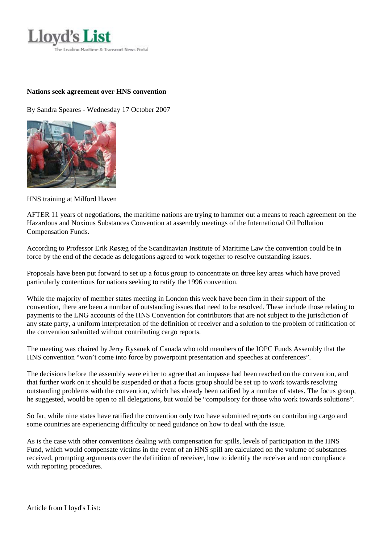

## **Nations seek agreement over HNS convention**

By Sandra Speares - Wednesday 17 October 2007



HNS training at Milford Haven

AFTER 11 years of negotiations, the maritime nations are trying to hammer out a means to reach agreement on the Hazardous and Noxious Substances Convention at assembly meetings of the International Oil Pollution Compensation Funds.

According to Professor Erik Røsæg of the Scandinavian Institute of Maritime Law the convention could be in force by the end of the decade as delegations agreed to work together to resolve outstanding issues.

Proposals have been put forward to set up a focus group to concentrate on three key areas which have proved particularly contentious for nations seeking to ratify the 1996 convention.

While the majority of member states meeting in London this week have been firm in their support of the convention, there are been a number of outstanding issues that need to be resolved. These include those relating to payments to the LNG accounts of the HNS Convention for contributors that are not subject to the jurisdiction of any state party, a uniform interpretation of the definition of receiver and a solution to the problem of ratification of the convention submitted without contributing cargo reports.

The meeting was chaired by Jerry Rysanek of Canada who told members of the IOPC Funds Assembly that the HNS convention "won't come into force by powerpoint presentation and speeches at conferences".

The decisions before the assembly were either to agree that an impasse had been reached on the convention, and that further work on it should be suspended or that a focus group should be set up to work towards resolving outstanding problems with the convention, which has already been ratified by a number of states. The focus group, he suggested, would be open to all delegations, but would be "compulsory for those who work towards solutions".

So far, while nine states have ratified the convention only two have submitted reports on contributing cargo and some countries are experiencing difficulty or need guidance on how to deal with the issue.

As is the case with other conventions dealing with compensation for spills, levels of participation in the HNS Fund, which would compensate victims in the event of an HNS spill are calculated on the volume of substances received, prompting arguments over the definition of receiver, how to identify the receiver and non compliance with reporting procedures.